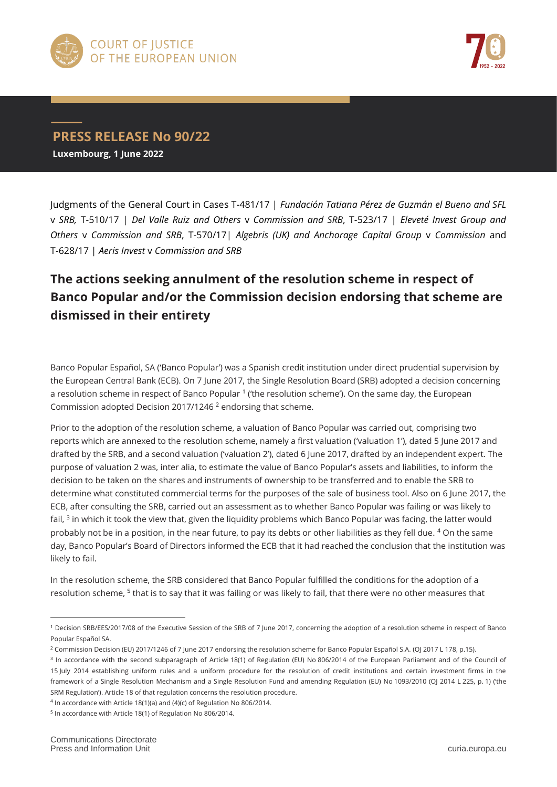



## **PRESS RELEASE No 90/22**

**Luxembourg, 1 June 2022**

Judgments of the General Court in Cases T-481/17 | *Fundación Tatiana Pérez de Guzmán el Bueno and SFL*  v *SRB,* T-510/17 | *Del Valle Ruiz and Others* v *Commission and SRB*, T-523/17 | *Eleveté Invest Group and Others* v *Commission and SRB*, T-570/17| *Algebris (UK) and Anchorage Capital Group* v *Commission* and T-628/17 | *Aeris Invest* v *Commission and SRB*

## **The actions seeking annulment of the resolution scheme in respect of Banco Popular and/or the Commission decision endorsing that scheme are dismissed in their entirety**

Banco Popular Español, SA ('Banco Popular') was a Spanish credit institution under direct prudential supervision by the European Central Bank (ECB). On 7 June 2017, the Single Resolution Board (SRB) adopted a decision concerning a resolution scheme in respect of Banco Popular<sup>1</sup> ('the resolution scheme'). On the same day, the European Commission adopted Decision 2017/1246 <sup>2</sup> endorsing that scheme.

Prior to the adoption of the resolution scheme, a valuation of Banco Popular was carried out, comprising two reports which are annexed to the resolution scheme, namely a first valuation ('valuation 1'), dated 5 June 2017 and drafted by the SRB, and a second valuation ('valuation 2'), dated 6 June 2017, drafted by an independent expert. The purpose of valuation 2 was, inter alia, to estimate the value of Banco Popular's assets and liabilities, to inform the decision to be taken on the shares and instruments of ownership to be transferred and to enable the SRB to determine what constituted commercial terms for the purposes of the sale of business tool. Also on 6 June 2017, the ECB, after consulting the SRB, carried out an assessment as to whether Banco Popular was failing or was likely to fail, <sup>3</sup> in which it took the view that, given the liquidity problems which Banco Popular was facing, the latter would probably not be in a position, in the near future, to pay its debts or other liabilities as they fell due. <sup>4</sup> On the same day, Banco Popular's Board of Directors informed the ECB that it had reached the conclusion that the institution was likely to fail.

In the resolution scheme, the SRB considered that Banco Popular fulfilled the conditions for the adoption of a resolution scheme, <sup>5</sup> that is to say that it was failing or was likely to fail, that there were no other measures that

 $\overline{a}$ 

<sup>1</sup> Decision SRB/EES/2017/08 of the Executive Session of the SRB of 7 June 2017, concerning the adoption of a resolution scheme in respect of Banco Popular Español SA.

<sup>2</sup> Commission Decision (EU) 2017/1246 of 7 June 2017 endorsing the resolution scheme for Banco Popular Español S.A. (OJ 2017 L 178, p.15).

<sup>&</sup>lt;sup>3</sup> In accordance with the second subparagraph of Article 18(1) of Regulation (EU) No 806/2014 of the European Parliament and of the Council of 15 July 2014 establishing uniform rules and a uniform procedure for the resolution of credit institutions and certain investment firms in the framework of a Single Resolution Mechanism and a Single Resolution Fund and amending Regulation (EU) No 1093/2010 (OJ 2014 L 225, p. 1) ('the SRM Regulation'). Article 18 of that regulation concerns the resolution procedure.

<sup>&</sup>lt;sup>4</sup> In accordance with Article 18(1)(a) and (4)(c) of Regulation No 806/2014. <sup>5</sup> In accordance with Article 18(1) of Regulation No 806/2014.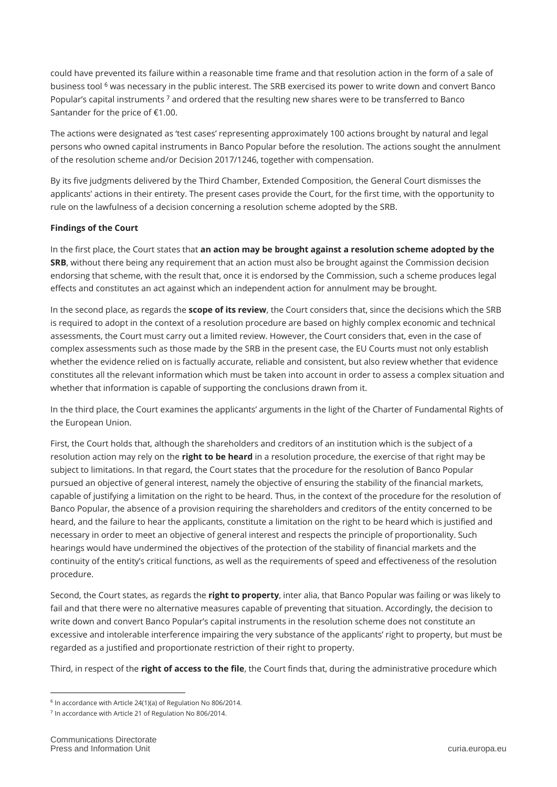could have prevented its failure within a reasonable time frame and that resolution action in the form of a sale of business tool <sup>6</sup> was necessary in the public interest. The SRB exercised its power to write down and convert Banco Popular's capital instruments<sup>7</sup> and ordered that the resulting new shares were to be transferred to Banco Santander for the price of €1.00.

The actions were designated as 'test cases' representing approximately 100 actions brought by natural and legal persons who owned capital instruments in Banco Popular before the resolution. The actions sought the annulment of the resolution scheme and/or Decision 2017/1246, together with compensation.

By its five judgments delivered by the Third Chamber, Extended Composition, the General Court dismisses the applicants' actions in their entirety. The present cases provide the Court, for the first time, with the opportunity to rule on the lawfulness of a decision concerning a resolution scheme adopted by the SRB.

## **Findings of the Court**

In the first place, the Court states that **an action may be brought against a resolution scheme adopted by the SRB**, without there being any requirement that an action must also be brought against the Commission decision endorsing that scheme, with the result that, once it is endorsed by the Commission, such a scheme produces legal effects and constitutes an act against which an independent action for annulment may be brought.

In the second place, as regards the **scope of its review**, the Court considers that, since the decisions which the SRB is required to adopt in the context of a resolution procedure are based on highly complex economic and technical assessments, the Court must carry out a limited review. However, the Court considers that, even in the case of complex assessments such as those made by the SRB in the present case, the EU Courts must not only establish whether the evidence relied on is factually accurate, reliable and consistent, but also review whether that evidence constitutes all the relevant information which must be taken into account in order to assess a complex situation and whether that information is capable of supporting the conclusions drawn from it.

In the third place, the Court examines the applicants' arguments in the light of the Charter of Fundamental Rights of the European Union.

First, the Court holds that, although the shareholders and creditors of an institution which is the subject of a resolution action may rely on the **right to be heard** in a resolution procedure, the exercise of that right may be subject to limitations. In that regard, the Court states that the procedure for the resolution of Banco Popular pursued an objective of general interest, namely the objective of ensuring the stability of the financial markets, capable of justifying a limitation on the right to be heard. Thus, in the context of the procedure for the resolution of Banco Popular, the absence of a provision requiring the shareholders and creditors of the entity concerned to be heard, and the failure to hear the applicants, constitute a limitation on the right to be heard which is justified and necessary in order to meet an objective of general interest and respects the principle of proportionality. Such hearings would have undermined the objectives of the protection of the stability of financial markets and the continuity of the entity's critical functions, as well as the requirements of speed and effectiveness of the resolution procedure.

Second, the Court states, as regards the **right to property**, inter alia, that Banco Popular was failing or was likely to fail and that there were no alternative measures capable of preventing that situation. Accordingly, the decision to write down and convert Banco Popular's capital instruments in the resolution scheme does not constitute an excessive and intolerable interference impairing the very substance of the applicants' right to property, but must be regarded as a justified and proportionate restriction of their right to property.

Third, in respect of the **right of access to the file**, the Court finds that, during the administrative procedure which

 $\overline{a}$ 

<sup>6</sup> In accordance with Article 24(1)(a) of Regulation No 806/2014.

<sup>&</sup>lt;sup>7</sup> In accordance with Article 21 of Regulation No 806/2014.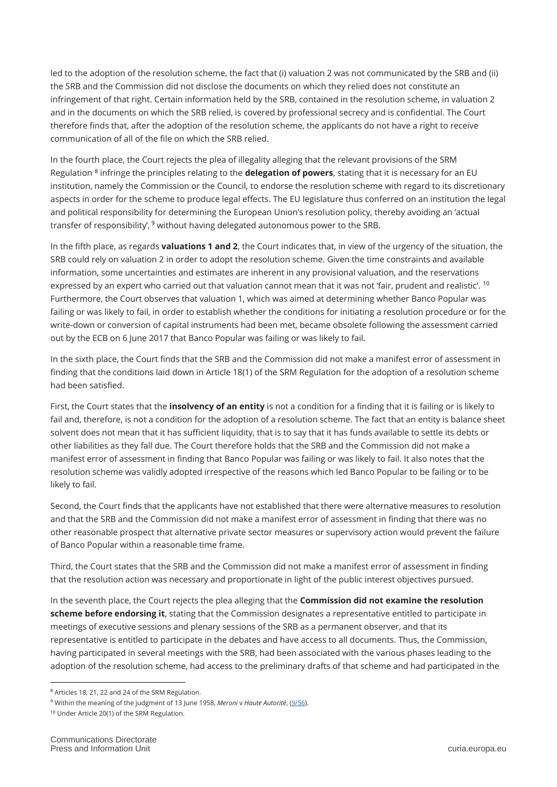led to the adoption of the resolution scheme, the fact that (i) valuation 2 was not communicated by the SRB and (ii) the SRB and the Commission did not disclose the documents on which they relied does not constitute an infringement of that right. Certain information held by the SRB, contained in the resolution scheme, in valuation 2 and in the documents on which the SRB relied, is covered by professional secrecy and is confidential. The Court therefore finds that, after the adoption of the resolution scheme, the applicants do not have a right to receive communication of all of the file on which the SRB relied.

In the fourth place, the Court rejects the plea of illegality alleging that the relevant provisions of the SRM Regulation <sup>8</sup> infringe the principles relating to the **delegation of powers**, stating that it is necessary for an EU institution, namely the Commission or the Council, to endorse the resolution scheme with regard to its discretionary aspects in order for the scheme to produce legal effects. The EU legislature thus conferred on an institution the legal and political responsibility for determining the European Union's resolution policy, thereby avoiding an 'actual transfer of responsibility', <sup>9</sup> without having delegated autonomous power to the SRB.

In the fifth place, as regards **valuations 1 and 2**, the Court indicates that, in view of the urgency of the situation, the SRB could rely on valuation 2 in order to adopt the resolution scheme. Given the time constraints and available information, some uncertainties and estimates are inherent in any provisional valuation, and the reservations expressed by an expert who carried out that valuation cannot mean that it was not 'fair, prudent and realistic'. <sup>10</sup> Furthermore, the Court observes that valuation 1, which was aimed at determining whether Banco Popular was failing or was likely to fail, in order to establish whether the conditions for initiating a resolution procedure or for the write-down or conversion of capital instruments had been met, became obsolete following the assessment carried out by the ECB on 6 June 2017 that Banco Popular was failing or was likely to fail.

In the sixth place, the Court finds that the SRB and the Commission did not make a manifest error of assessment in finding that the conditions laid down in Article 18(1) of the SRM Regulation for the adoption of a resolution scheme had been satisfied.

First, the Court states that the **insolvency of an entity** is not a condition for a finding that it is failing or is likely to fail and, therefore, is not a condition for the adoption of a resolution scheme. The fact that an entity is balance sheet solvent does not mean that it has sufficient liquidity, that is to say that it has funds available to settle its debts or other liabilities as they fall due. The Court therefore holds that the SRB and the Commission did not make a manifest error of assessment in finding that Banco Popular was failing or was likely to fail. It also notes that the resolution scheme was validly adopted irrespective of the reasons which led Banco Popular to be failing or to be likely to fail.

Second, the Court finds that the applicants have not established that there were alternative measures to resolution and that the SRB and the Commission did not make a manifest error of assessment in finding that there was no other reasonable prospect that alternative private sector measures or supervisory action would prevent the failure of Banco Popular within a reasonable time frame.

Third, the Court states that the SRB and the Commission did not make a manifest error of assessment in finding that the resolution action was necessary and proportionate in light of the public interest objectives pursued.

In the seventh place, the Court rejects the plea alleging that the **Commission did not examine the resolution scheme before endorsing it**, stating that the Commission designates a representative entitled to participate in meetings of executive sessions and plenary sessions of the SRB as a permanent observer, and that its representative is entitled to participate in the debates and have access to all documents. Thus, the Commission, having participated in several meetings with the SRB, had been associated with the various phases leading to the adoption of the resolution scheme, had access to the preliminary drafts of that scheme and had participated in the

 $\overline{a}$ <sup>8</sup> Articles 18, 21, 22 and 24 of the SRM Regulation.

<sup>9</sup> Within the meaning of the judgment of 13 June 1958, *Meroni* v *Haute Autorité*, [\(9/56\)](https://curia.europa.eu/juris/documents.jsf?num=c-9/56).

<sup>10</sup> Under Article 20(1) of the SRM Regulation.